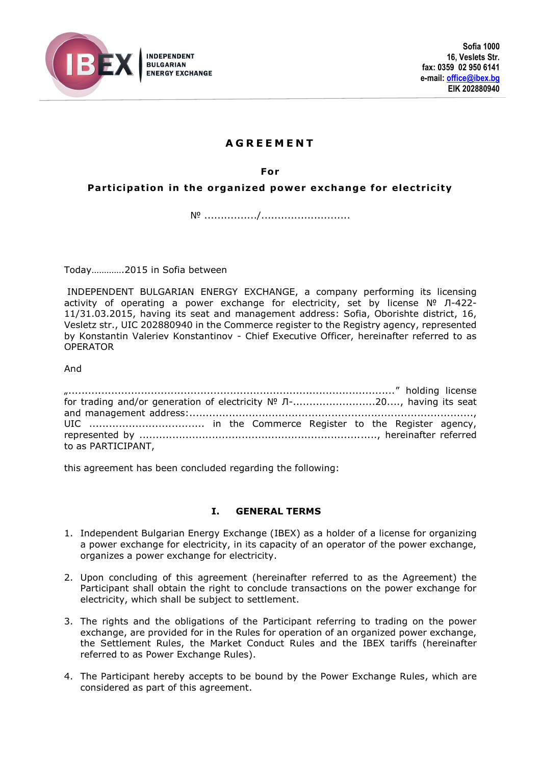

# **A G R E E M E N T**

**For**

**Participation in the organized power exchange for electricity** 

№ ................/...........................

Today………….2015 in Sofia between

INDEPENDENT BULGARIAN ENERGY EXCHANGE, a company performing its licensing activity of operating a power exchange for electricity, set by license № Л-422- 11/31.03.2015, having its seat and management address: Sofia, Oborishte district, 16, Vesletz str., UIC 202880940 in the Commerce register to the Registry agency, represented by Konstantin Valeriev Konstantinov - Chief Executive Officer, hereinafter referred to as OPERATOR

And

| for trading and/or generation of electricity Nº Л-20, having its seat |  |  |  |  |
|-----------------------------------------------------------------------|--|--|--|--|
|                                                                       |  |  |  |  |
|                                                                       |  |  |  |  |
|                                                                       |  |  |  |  |
| to as PARTICIPANT,                                                    |  |  |  |  |

this agreement has been concluded regarding the following:

#### **I. GENERAL TERMS**

- 1. Independent Bulgarian Energy Exchange (IBEX) as a holder of a license for organizing a power exchange for electricity, in its capacity of an operator of the power exchange, organizes a power exchange for electricity.
- 2. Upon concluding of this agreement (hereinafter referred to as the Agreement) the Participant shall obtain the right to conclude transactions on the power exchange for electricity, which shall be subject to settlement.
- 3. The rights and the obligations of the Participant referring to trading on the power exchange, are provided for in the Rules for operation of an organized power exchange, the Settlement Rules, the Market Conduct Rules and the IBEX tariffs (hereinafter referred to as Power Exchange Rules).
- 4. The Participant hereby accepts to be bound by the Power Exchange Rules, which are considered as part of this agreement.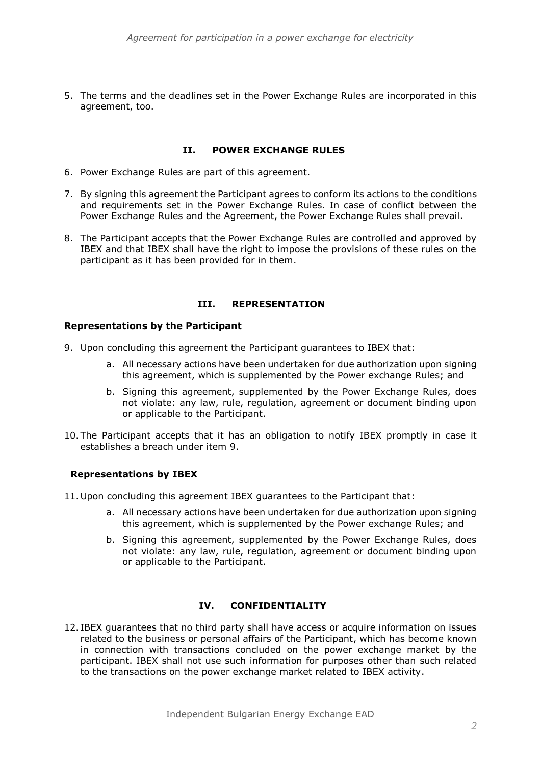5. The terms and the deadlines set in the Power Exchange Rules are incorporated in this agreement, too.

## **II. POWER EXCHANGE RULES**

- 6. Power Exchange Rules are part of this agreement.
- 7. By signing this agreement the Participant agrees to conform its actions to the conditions and requirements set in the Power Exchange Rules. In case of conflict between the Power Exchange Rules and the Agreement, the Power Exchange Rules shall prevail.
- 8. The Participant accepts that the Power Exchange Rules are controlled and approved by IBEX and that IBEX shall have the right to impose the provisions of these rules on the participant as it has been provided for in them.

## **III. REPRESENTATION**

### **Representations by the Participant**

- <span id="page-1-0"></span>9. Upon concluding this agreement the Participant guarantees to IBEX that:
	- a. All necessary actions have been undertaken for due authorization upon signing this agreement, which is supplemented by the Power exchange Rules; and
	- b. Signing this agreement, supplemented by the Power Exchange Rules, does not violate: any law, rule, regulation, agreement or document binding upon or applicable to the Participant.
- 10. The Participant accepts that it has an obligation to notify IBEX promptly in case it establishes a breach under item [9.](#page-1-0)

## **Representations by IBEX**

- 11. Upon concluding this agreement IBEX guarantees to the Participant that:
	- a. All necessary actions have been undertaken for due authorization upon signing this agreement, which is supplemented by the Power exchange Rules; and
	- b. Signing this agreement, supplemented by the Power Exchange Rules, does not violate: any law, rule, regulation, agreement or document binding upon or applicable to the Participant.

# **IV. CONFIDENTIALITY**

12. IBEX guarantees that no third party shall have access or acquire information on issues related to the business or personal affairs of the Participant, which has become known in connection with transactions concluded on the power exchange market by the participant. IBEX shall not use such information for purposes other than such related to the transactions on the power exchange market related to IBEX activity.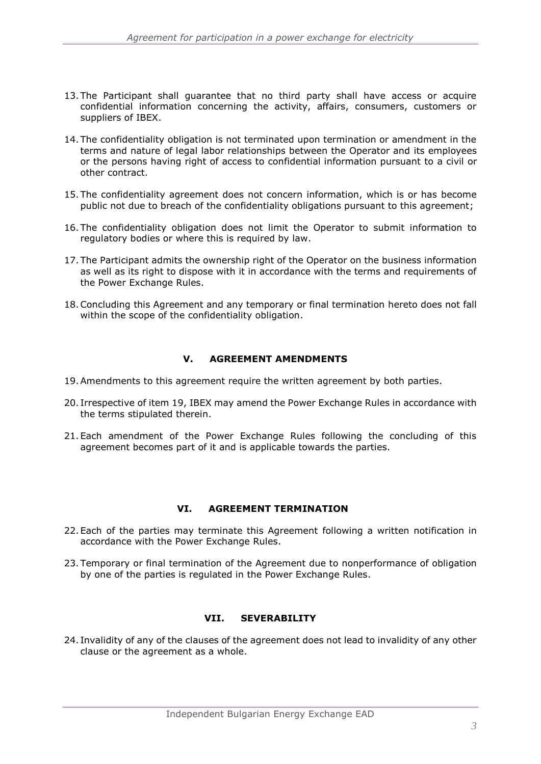- 13. The Participant shall guarantee that no third party shall have access or acquire confidential information concerning the activity, affairs, consumers, customers or suppliers of IBEX.
- 14. The confidentiality obligation is not terminated upon termination or amendment in the terms and nature of legal labor relationships between the Operator and its employees or the persons having right of access to confidential information pursuant to a civil or other contract.
- 15. The confidentiality agreement does not concern information, which is or has become public not due to breach of the confidentiality obligations pursuant to this agreement;
- 16. The confidentiality obligation does not limit the Operator to submit information to regulatory bodies or where this is required by law.
- 17. The Participant admits the ownership right of the Operator on the business information as well as its right to dispose with it in accordance with the terms and requirements of the Power Exchange Rules.
- 18.Concluding this Agreement and any temporary or final termination hereto does not fall within the scope of the confidentiality obligation.

## **V. AGREEMENT AMENDMENTS**

- <span id="page-2-0"></span>19.Amendments to this agreement require the written agreement by both parties.
- 20. Irrespective of item [19,](#page-2-0) IBEX may amend the Power Exchange Rules in accordance with the terms stipulated therein.
- 21.Each amendment of the Power Exchange Rules following the concluding of this agreement becomes part of it and is applicable towards the parties.

#### **VI. AGREEMENT TERMINATION**

- 22.Each of the parties may terminate this Agreement following a written notification in accordance with the Power Exchange Rules.
- 23. Temporary or final termination of the Agreement due to nonperformance of obligation by one of the parties is regulated in the Power Exchange Rules.

## **VII. SEVERABILITY**

24. Invalidity of any of the clauses of the agreement does not lead to invalidity of any other clause or the agreement as a whole.